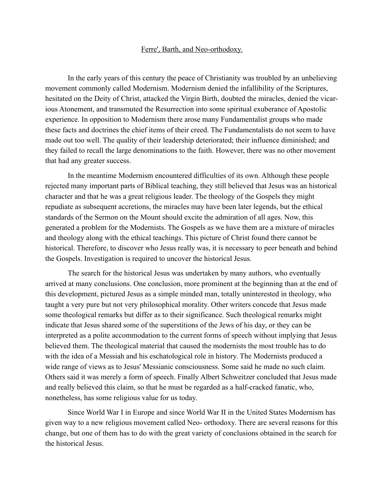## Ferre', Barth, and Neo-orthodoxy.

In the early years of this century the peace of Christianity was troubled by an unbelieving movement commonly called Modernism. Modernism denied the infallibility of the Scriptures, hesitated on the Deity of Christ, attacked the Virgin Birth, doubted the miracles, denied the vicarious Atonement, and transmuted the Resurrection into some spiritual exuberance of Apostolic experience. In opposition to Modernism there arose many Fundamentalist groups who made these facts and doctrines the chief items of their creed. The Fundamentalists do not seem to have made out too well. The quality of their leadership deteriorated; their influence diminished; and they failed to recall the large denominations to the faith. However, there was no other movement that had any greater success.

In the meantime Modernism encountered difficulties of its own. Although these people rejected many important parts of Biblical teaching, they still believed that Jesus was an historical character and that he was a great religious leader. The theology of the Gospels they might repudiate as subsequent accretions, the miracles may have been later legends, but the ethical standards of the Sermon on the Mount should excite the admiration of all ages. Now, this generated a problem for the Modernists. The Gospels as we have them are a mixture of miracles and theology along with the ethical teachings. This picture of Christ found there cannot be historical. Therefore, to discover who Jesus really was, it is necessary to peer beneath and behind the Gospels. Investigation is required to uncover the historical Jesus.

The search for the historical Jesus was undertaken by many authors, who eventually arrived at many conclusions. One conclusion, more prominent at the beginning than at the end of this development, pictured Jesus as a simple minded man, totally uninterested in theology, who taught a very pure but not very philosophical morality. Other writers concede that Jesus made some theological remarks but differ as to their significance. Such theological remarks might indicate that Jesus shared some of the superstitions of the Jews of his day, or they can be interpreted as a polite accommodation to the current forms of speech without implying that Jesus believed them. The theological material that caused the modernists the most trouble has to do with the idea of a Messiah and his eschatological role in history. The Modernists produced a wide range of views as to Jesus' Messianic consciousness. Some said he made no such claim. Others said it was merely a form of speech. Finally Albert Schweitzer concluded that Jesus made and really believed this claim, so that he must be regarded as a half-cracked fanatic, who, nonetheless, has some religious value for us today.

Since World War I in Europe and since World War II in the United States Modernism has given way to a new religious movement called Neo- orthodoxy. There are several reasons for this change, but one of them has to do with the great variety of conclusions obtained in the search for the historical Jesus.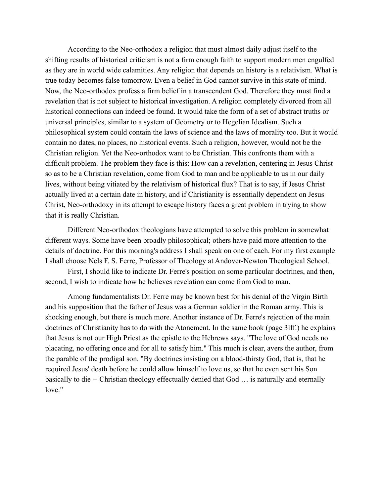According to the Neo-orthodox a religion that must almost daily adjust itself to the shifting results of historical criticism is not a firm enough faith to support modern men engulfed as they are in world wide calamities. Any religion that depends on history is a relativism. What is true today becomes false tomorrow. Even a belief in God cannot survive in this state of mind. Now, the Neo-orthodox profess a firm belief in a transcendent God. Therefore they must find a revelation that is not subject to historical investigation. A religion completely divorced from all historical connections can indeed be found. It would take the form of a set of abstract truths or universal principles, similar to a system of Geometry or to Hegelian Idealism. Such a philosophical system could contain the laws of science and the laws of morality too. But it would contain no dates, no places, no historical events. Such a religion, however, would not be the Christian religion. Yet the Neo-orthodox want to be Christian. This confronts them with a difficult problem. The problem they face is this: How can a revelation, centering in Jesus Christ so as to be a Christian revelation, come from God to man and be applicable to us in our daily lives, without being vitiated by the relativism of historical flux? That is to say, if Jesus Christ actually lived at a certain date in history, and if Christianity is essentially dependent on Jesus Christ, Neo-orthodoxy in its attempt to escape history faces a great problem in trying to show that it is really Christian.

Different Neo-orthodox theologians have attempted to solve this problem in somewhat different ways. Some have been broadly philosophical; others have paid more attention to the details of doctrine. For this morning's address I shall speak on one of each. For my first example I shall choose Nels F. S. Ferre, Professor of Theology at Andover-Newton Theological School.

First, I should like to indicate Dr. Ferre's position on some particular doctrines, and then, second, I wish to indicate how he believes revelation can come from God to man.

Among fundamentalists Dr. Ferre may be known best for his denial of the Virgin Birth and his supposition that the father of Jesus was a German soldier in the Roman army. This is shocking enough, but there is much more. Another instance of Dr. Ferre's rejection of the main doctrines of Christianity has to do with the Atonement. In the same book (page 3lff.) he explains that Jesus is not our High Priest as the epistle to the Hebrews says. "The love of God needs no placating, no offering once and for all to satisfy him." This much is clear, avers the author, from the parable of the prodigal son. "By doctrines insisting on a blood-thirsty God, that is, that he required Jesus' death before he could allow himself to love us, so that he even sent his Son basically to die -- Christian theology effectually denied that God … is naturally and eternally love."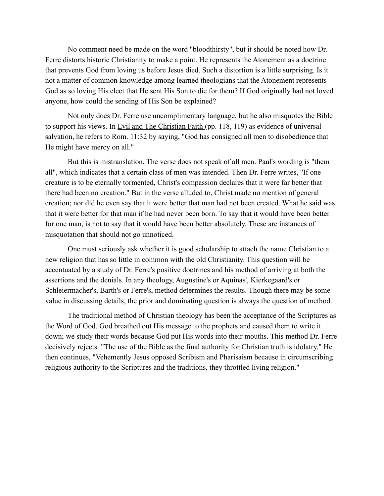No comment need be made on the word "bloodthirsty", but it should be noted how Dr. Ferre distorts historic Christianity to make a point. He represents the Atonement as a doctrine that prevents God from loving us before Jesus died. Such a distortion is a little surprising. Is it not a matter of common knowledge among learned theologians that the Atonement represents God as so loving His elect that He sent His Son to die for them? If God originally had not loved anyone, how could the sending of His Son be explained?

Not only does Dr. Ferre use uncomplimentary language, but he also misquotes the Bible to support his views. In Evil and The Christian Faith (pp. 118, 119) as evidence of universal salvation, he refers to Rom. 11:32 by saying, "God has consigned all men to disobedience that He might have mercy on all."

But this is mistranslation. The verse does not speak of all men. Paul's wording is "them all", which indicates that a certain class of men was intended. Then Dr. Ferre writes, "If one creature is to be eternally tormented, Christ's compassion declares that it were far better that there had been no creation." But in the verse alluded to, Christ made no mention of general creation; nor did he even say that it were better that man had not been created. What he said was that it were better for that man if he had never been born. To say that it would have been better for one man, is not to say that it would have been better absolutely. These are instances of misquotation that should not go unnoticed.

One must seriously ask whether it is good scholarship to attach the name Christian to a new religion that has so little in common with the old Christianity. This question will be accentuated by a study of Dr. Ferre's positive doctrines and his method of arriving at both the assertions and the denials. In any theology, Augustine's or Aquinas', Kierkegaard's or Schleiermacher's, Barth's or Ferre's, method determines the results. Though there may be some value in discussing details, the prior and dominating question is always the question of method.

The traditional method of Christian theology has been the acceptance of the Scriptures as the Word of God. God breathed out His message to the prophets and caused them to write it down; we study their words because God put His words into their mouths. This method Dr. Ferre decisively rejects. "The use of the Bible as the final authority for Christian truth is idolatry." He then continues, "Vehemently Jesus opposed Scribism and Pharisaism because in circumscribing religious authority to the Scriptures and the traditions, they throttled living religion."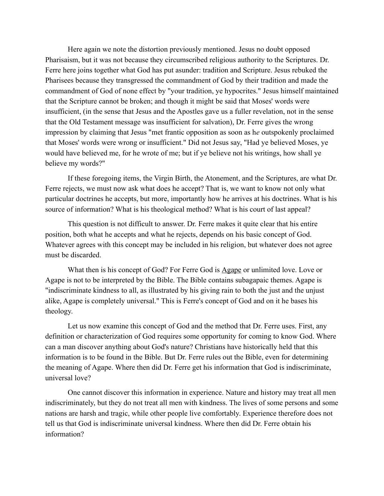Here again we note the distortion previously mentioned. Jesus no doubt opposed Pharisaism, but it was not because they circumscribed religious authority to the Scriptures. Dr. Ferre here joins together what God has put asunder: tradition and Scripture. Jesus rebuked the Pharisees because they transgressed the commandment of God by their tradition and made the commandment of God of none effect by "your tradition, ye hypocrites." Jesus himself maintained that the Scripture cannot be broken; and though it might be said that Moses' words were insufficient, (in the sense that Jesus and the Apostles gave us a fuller revelation, not in the sense that the Old Testament message was insufficient for salvation), Dr. Ferre gives the wrong impression by claiming that Jesus "met frantic opposition as soon as h*e* outspokenly proclaimed that Moses' words were wrong or insufficient." Did not Jesus say, "Had ye believed Moses, ye would have believed me, for he wrote of me; but if ye believe not his writings, how shall ye believe my words?"

If these foregoing items, the Virgin Birth, the Atonement, and the Scriptures, are what Dr. Ferre rejects, we must now ask what does he accept? That is, we want to know not only what particular doctrines he accepts, but more, importantly how he arrives at his doctrines. What is his source of information? What is his theological method? What is his court of last appeal?

This question is not difficult to answer. Dr. Ferre makes it quite clear that his entire position, both what he accepts and what he rejects, depends on his basic concept of God. Whatever agrees with this concept may be included in his religion, but whatever does not agree must be discarded.

What then is his concept of God? For Ferre God is Agape or unlimited love. Love or Agape is not to be interpreted by the Bible. The Bible contains subagapaic themes. Agape is "indiscriminate kindness to all, as illustrated by his giving rain to both the just and the unjust alike, Agape is completely universal." This is Ferre's concept of God and on it he bases his theology.

Let us now examine this concept of God and the method that Dr. Ferre uses. First, any definition or characterization of God requires some opportunity for coming to know God. Where can a man discover anything about God's nature? Christians have historically held that this information is to be found in the Bible. But Dr. Ferre rules out the Bible, even for determining the meaning of Agape. Where then did Dr. Ferre get his information that God is indiscriminate, universal love?

One cannot discover this information in experience. Nature and history may treat all men indiscriminately, but they do not treat all men with kindness. The lives of some persons and some nations are harsh and tragic, while other people live comfortably. Experience therefore does not tell us that God is indiscriminate universal kindness. Where then did Dr. Ferre obtain his information?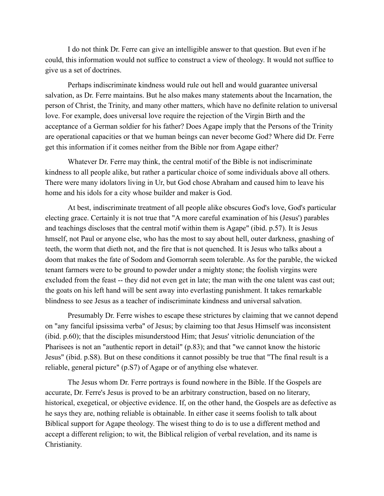I do not think Dr. Ferre can give an intelligible answer to that question. But even if he could, this information would not suffice to construct a view of theology. It would not suffice to give us a set of doctrines.

Perhaps indiscriminate kindness would rule out hell and would guarantee universal salvation, as Dr. Ferre maintains. But he also makes many statements about the Incarnation, the person of Christ, the Trinity, and many other matters, which have no definite relation to universal love. For example, does universal love require the rejection of the Virgin Birth and the acceptance of a German soldier for his father? Does Agape imply that the Persons of the Trinity are operational capacities or that we human beings can never become God? Where did Dr. Ferre get this information if it comes neither from the Bible nor from Agape either?

Whatever Dr. Ferre may think, the central motif of the Bible is not indiscriminate kindness to all people alike, but rather a particular choice of some individuals above all others. There were many idolators living in Ur, but God chose Abraham and caused him to leave his home and his idols for a city whose builder and maker is God.

At best, indiscriminate treatment of all people alike obscures God's love, God's particular electing grace. Certainly it is not true that "A more careful examination of his (Jesus') parables and teachings discloses that the central motif within them is Agape" (ibid. p.57). It is Jesus hmself, not Paul or anyone else, who has the most to say about hell, outer darkness, gnashing of teeth, the worm that dieth not, and the fire that is not quenched. It is Jesus who talks about a doom that makes the fate of Sodom and Gomorrah seem tolerable. As for the parable, the wicked tenant farmers were to be ground to powder under a mighty stone; the foolish virgins were excluded from the feast -- they did not even get in late; the man with the one talent was cast out; the goats on his left hand will be sent away into everlasting punishment. It takes remarkable blindness to see Jesus as a teacher of indiscriminate kindness and universal salvation.

Presumably Dr. Ferre wishes to escape these strictures by claiming that we cannot depend on "any fanciful ipsissima verba" of Jesus; by claiming too that Jesus Himself was inconsistent (ibid. p.60); that the disciples misunderstood Him; that Jesus' vitriolic denunciation of the Pharisees is not an "authentic report in detail" (p.83); and that "we cannot know the historic Jesus" (ibid. p.S8). But on these conditions it cannot possibly be true that "The final result is a reliable, general picture" (p.S7) of Agape or of anything else whatever.

The Jesus whom Dr. Ferre portrays is found nowhere in the Bible. If the Gospels are accurate, Dr. Ferre's Jesus is proved to be an arbitrary construction, based on no literary, historical, exegetical, or objective evidence. If, on the other hand, the Gospels are as defective as he says they are, nothing reliable is obtainable. In either case it seems foolish to talk about Biblical support for Agape theology. The wisest thing to do is to use a different method and accept a different religion; to wit, the Biblical religion of verbal revelation, and its name is Christianity.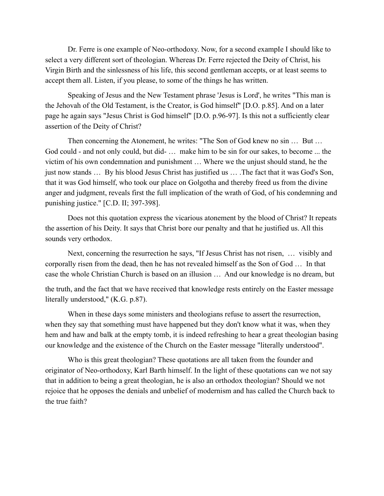Dr. Ferre is one example of Neo-orthodoxy. Now, for a second exampIe I should like to select a very different sort of theologian. Whereas Dr. Ferre rejected the Deity of Christ, his Virgin Birth and the sinlessness of his life, this second gentleman accepts, or at least seems to accept them all. Listen, if you please, to some of the things he has written.

Speaking of Jesus and the New Testament phrase 'Jesus is Lord', he writes "This man is the Jehovah of the Old Testament, is the Creator, is God himself" [D.O. p.85]. And on a later page he again says "Jesus Christ is God himself" [D.O. p.96-97]. Is this not a sufficiently clear assertion of the Deity of Christ?

Then concerning the Atonement, he writes: "The Son of God knew no sin … But … God could - and not only could, but did- … make him to be sin for our sakes, to become ... the victim of his own condemnation and punishment … Where we the unjust should stand, he the just now stands … By his blood Jesus Christ has justified us … .The fact that it was God's Son, that it was God himself, who took our place on Golgotha and thereby freed us from the divine anger and judgment, reveals first the full implication of the wrath of God, of his condemning and punishing justice." [C.D. II; 397-398].

Does not this quotation express the vicarious atonement by the blood of Christ? It repeats the assertion of his Deity. It says that Christ bore our penalty and that he justified us. All this sounds very orthodox.

Next, concerning the resurrection he says, "If Jesus Christ has not risen, … visibly and corporally risen from the dead, then he has not revealed himself as the Son of God … In that case the whole Christian Church is based on an illusion … And our knowledge is no dream, but

the truth, and the fact that we have received that knowledge rests entirely on the Easter message literally understood," (K.G. p.87).

When in these days some ministers and theologians refuse to assert the resurrection, when they say that something must have happened but they don't know what it was, when they hem and haw and balk at the empty tomb, it is indeed refreshing to hear a great theologian basing our knowledge and the existence of the Church on the Easter message "literally understood".

Who is this great theologian? These quotations are all taken from the founder and originator of Neo-orthodoxy, Karl Barth himself. In the light of these quotations can we not say that in addition to being a great theologian, he is also an orthodox theologian? Should we not rejoice that he opposes the denials and unbelief of modernism and has called the Church back to the true faith?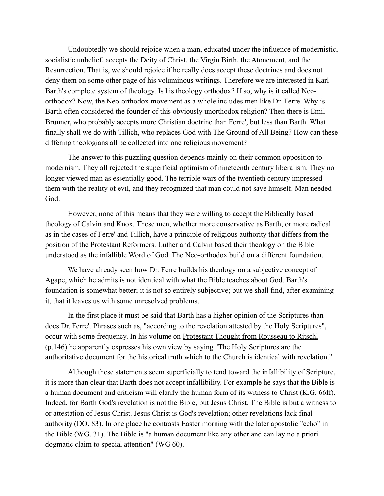Undoubtedly we should rejoice when a man, educated under the influence of modernistic, socialistic unbelief, accepts the Deity of Christ, the Virgin Birth, the Atonement, and the Resurrection. That is, we should rejoice if he really does accept these doctrines and does not deny them on some other page of his voluminous writings. Therefore we are interested in Karl Barth's complete system of theology. Is his theology orthodox? If so, why is it called Neoorthodox? Now, the Neo-orthodox movement as a whole includes men like Dr. Ferre. Why is Barth often considered the founder of this obviously unorthodox religion? Then there is Emil Brunner, who probably accepts more Christian doctrine than Ferre', but less than Barth. What finally shall we do with Tillich, who replaces God with The Ground of All Being? How can these differing theologians all be collected into one religious movement?

The answer to this puzzling question depends mainly on their common opposition to modernism. They all rejected the superficial optimism of nineteenth century liberalism. They no longer viewed man as essentially good. The terrible wars of the twentieth century impressed them with the reality of evil, and they recognized that man could not save himself. Man needed God.

However, none of this means that they were willing to accept the Biblically based theology of Calvin and Knox. These men, whether more conservative as Barth, or more radical as in the cases of Ferre' and Tillich, have a principle of religious authority that differs from the position of the Protestant Reformers. Luther and Calvin based their theology on the Bible understood as the infallible Word of God. The Neo-orthodox build on a different foundation.

We have already seen how Dr. Ferre builds his theology on a subjective concept of Agape, which he admits is not identical with what the Bible teaches about God. Barth's foundation is somewhat better; it is not so entirely subjective; but we shall find, after examining it, that it leaves us with some unresolved problems.

In the first place it must be said that Barth has a higher opinion of the Scriptures than does Dr. Ferre'. Phrases such as, "according to the revelation attested by the Holy Scriptures", occur with some frequency. In his volume on Protestant Thought from Rousseau to Ritschl (p.146) he apparently expresses his own view by saying "The Holy Scriptures are the authoritative document for the historical truth which to the Church is identical with revelation."

Although these statements seem superficially to tend toward the infallibility of Scripture, it is more than clear that Barth does not accept infallibility. For example he says that the Bible is a human document and criticism will clarify the human form of its witness to Christ (K.G. 66ff). Indeed, for Barth God's revelation is not the Bible, but Jesus Christ. The Bible is but a witness to or attestation of Jesus Christ. Jesus Christ is God's revelation; other revelations lack final authority (DO. 83). In one place he contrasts Easter morning with the later apostolic "echo" in the Bible (WG. 31). The Bible is "a human document like any other and can lay no a priori dogmatic claim to special attention" (WG 60).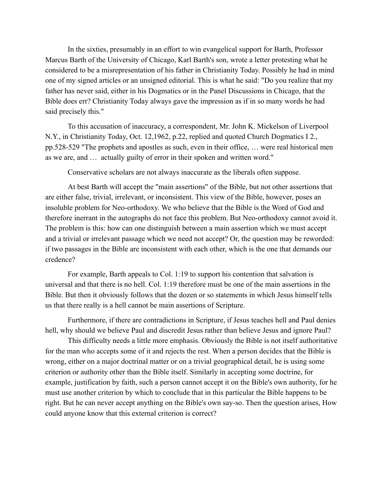In the sixties, presumably in an effort to win evangelical support for Barth, Professor Marcus Barth of the University of Chicago, Karl Barth's son, wrote a letter protesting what he considered to be a misrepresentation of his father in Christianity Today. Possibly he had in mind one of my signed articles or an unsigned editorial. This is what he said: "Do you realize that my father has never said, either in his Dogmatics or in the Panel Discussions in Chicago, that the Bible does err? Christianity Today always gave the impression as if in so many words he had said precisely this."

To this accusation of inaccuracy, a correspondent, Mr. John K. Mickelson of Liverpool N.Y., in Christianity Today, Oct. 12,1962, p.22, replied and quoted Church Dogmatics I 2., pp.528-529 "The prophets and apostles as such, even in their office, … were real historical men as we are, and … actually guilty of error in their spoken and written word."

Conservative scholars are not always inaccurate as the liberals often suppose.

At best Barth will accept the "main assertions" of the Bible, but not other assertions that are either false, trivial, irrelevant, or inconsistent. This view of the Bible, however, poses an insoluble problem for Neo-orthodoxy. We who believe that the Bible is the Word of God and therefore inerrant in the autographs do not face this problem. But Neo-orthodoxy cannot avoid it. The problem is this: how can one distinguish between a main assertion which we must accept and a trivial or irrelevant passage which we need not accept? Or, the question may be reworded: if two passages in the Bible are inconsistent with each other, which is the one that demands our credence?

For example, Barth appeals to Col. 1:19 to support his contention that salvation is universal and that there is no hell. Col. 1:19 therefore must be one of the main assertions in the Bible. But then it obviously follows that the dozen or so statements in which Jesus himself tells us that there really is a hell cannot be main assertions of Scripture.

Furthermore, if there are contradictions in Scripture, if Jesus teaches hell and Paul denies hell, why should we believe Paul and discredit Jesus rather than believe Jesus and ignore Paul?

This difficulty needs a little more emphasis. Obviously the Bible is not itself authoritative for the man who accepts some of it and rejects the rest. When a person decides that the Bible is wrong, either on a major doctrinal matter or on a trivial geographical detail, he is using some criterion or authority other than the Bible itself. Similarly in accepting some doctrine, for example, justification by faith, such a person cannot accept it on the Bible's own authority, for he must use another criterion by which to conclude that in this particular the Bible happens to be right. But he can never accept anything on the Bible's own say-so. Then the question arises, How could anyone know that this external criterion is correct?